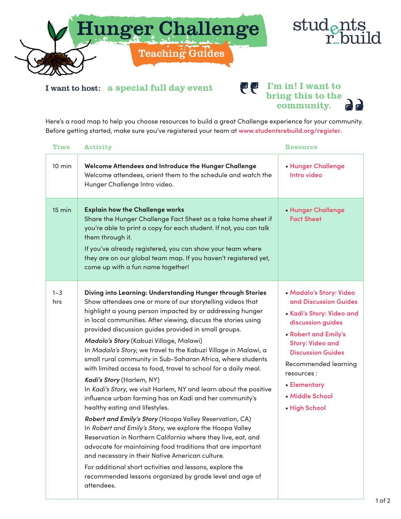



I want to host: a special full day event

## **PP** I'm in! I want to bring this to the community.

Here's a road map to help you choose resources to build a great Challenge experience for your community. Before getting started, make sure you've registered your team at **www.studentsrebuild.org/register**.

| <b>Time</b>      | Activity                                                                                                                                                                                                                                                                                                                                                                                                                                                                                                                                                                                                                                                                                                                                                                                                                                                                                                                                                                                                                                                                                                                                                                                                     | <b>Resource</b>                                                                                                                                                                                                                                                             |
|------------------|--------------------------------------------------------------------------------------------------------------------------------------------------------------------------------------------------------------------------------------------------------------------------------------------------------------------------------------------------------------------------------------------------------------------------------------------------------------------------------------------------------------------------------------------------------------------------------------------------------------------------------------------------------------------------------------------------------------------------------------------------------------------------------------------------------------------------------------------------------------------------------------------------------------------------------------------------------------------------------------------------------------------------------------------------------------------------------------------------------------------------------------------------------------------------------------------------------------|-----------------------------------------------------------------------------------------------------------------------------------------------------------------------------------------------------------------------------------------------------------------------------|
| $10 \text{ min}$ | Welcome Attendees and Introduce the Hunger Challenge<br>Welcome attendees, orient them to the schedule and watch the<br>Hunger Challenge Intro video.                                                                                                                                                                                                                                                                                                                                                                                                                                                                                                                                                                                                                                                                                                                                                                                                                                                                                                                                                                                                                                                        | • Hunger Challenge<br>Intro video                                                                                                                                                                                                                                           |
| $15 \text{ min}$ | <b>Explain how the Challenge works</b><br>Share the Hunger Challenge Fact Sheet as a take home sheet if<br>you're able to print a copy for each student. If not, you can talk<br>them through it.<br>If you've already registered, you can show your team where<br>they are on our global team map. If you haven't registered yet,<br>come up with a fun name together!                                                                                                                                                                                                                                                                                                                                                                                                                                                                                                                                                                                                                                                                                                                                                                                                                                      | • Hunger Challenge<br><b>Fact Sheet</b>                                                                                                                                                                                                                                     |
| $1 - 3$<br>hrs   | Diving into Learning: Understanding Hunger through Stories<br>Show attendees one or more of our storytelling videos that<br>highlight a young person impacted by or addressing hunger<br>in local communities. After viewing, discuss the stories using<br>provided discussion guides provided in small groups.<br>Madolo's Story (Kabuzi Village, Malawi)<br>In Madalo's Story, we travel to the Kabuzi Village in Malawi, a<br>small rural community in Sub-Saharan Africa, where students<br>with limited access to food, travel to school for a daily meal.<br>Kadi's Story (Harlem, NY)<br>In Kadi's Story, we visit Harlem, NY and learn about the positive<br>influence urban farming has on Kadi and her community's<br>healthy eating and lifestyles.<br>Robert and Emily's Story (Hoopa Valley Reservation, CA)<br>In Robert and Emily's Story, we explore the Hoopa Valley<br>Reservation in Northern California where they live, eat, and<br>advocate for maintaining food traditions that are important<br>and necessary in their Native American culture.<br>For additional short activities and lessons, explore the<br>recommended lessons organized by grade level and age of<br>attendees. | • Madalo's Story: Video<br>and Discussion Guides<br>• Kadi's Story: Video and<br>discussion guides<br>• Robert and Emily's<br><b>Story: Video and</b><br><b>Discussion Guides</b><br>Recommended learning<br>resources:<br>• Elementary<br>• Middle School<br>• High School |